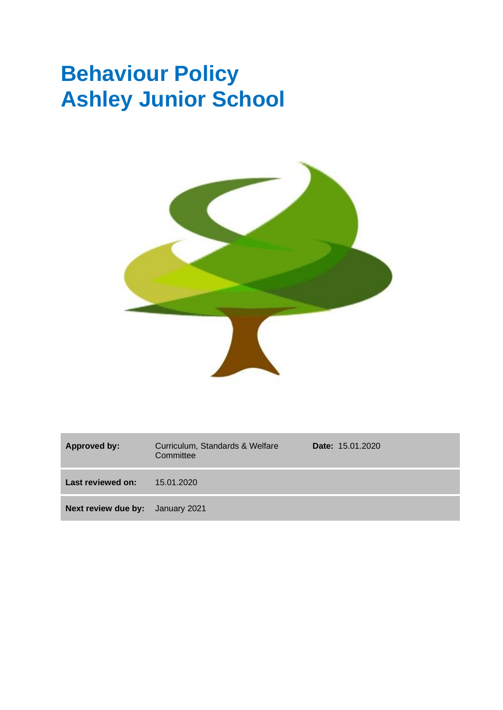# **Behaviour Policy Ashley Junior School**



| <b>Approved by:</b>                     | Curriculum, Standards & Welfare<br>Committee | <b>Date: 15.01.2020</b> |
|-----------------------------------------|----------------------------------------------|-------------------------|
| Last reviewed on:                       | 15.01.2020                                   |                         |
| <b>Next review due by:</b> January 2021 |                                              |                         |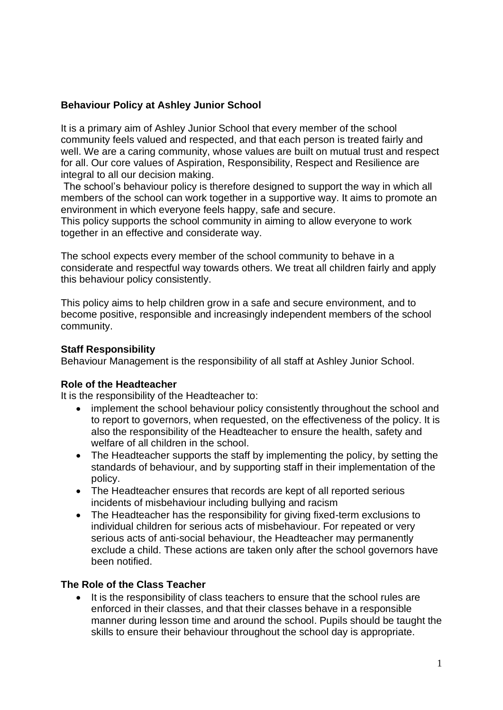## **Behaviour Policy at Ashley Junior School**

It is a primary aim of Ashley Junior School that every member of the school community feels valued and respected, and that each person is treated fairly and well. We are a caring community, whose values are built on mutual trust and respect for all. Our core values of Aspiration, Responsibility, Respect and Resilience are integral to all our decision making.

The school's behaviour policy is therefore designed to support the way in which all members of the school can work together in a supportive way. It aims to promote an environment in which everyone feels happy, safe and secure.

This policy supports the school community in aiming to allow everyone to work together in an effective and considerate way.

The school expects every member of the school community to behave in a considerate and respectful way towards others. We treat all children fairly and apply this behaviour policy consistently.

This policy aims to help children grow in a safe and secure environment, and to become positive, responsible and increasingly independent members of the school community.

#### **Staff Responsibility**

Behaviour Management is the responsibility of all staff at Ashley Junior School.

#### **Role of the Headteacher**

It is the responsibility of the Headteacher to:

- implement the school behaviour policy consistently throughout the school and to report to governors, when requested, on the effectiveness of the policy. It is also the responsibility of the Headteacher to ensure the health, safety and welfare of all children in the school.
- The Headteacher supports the staff by implementing the policy, by setting the standards of behaviour, and by supporting staff in their implementation of the policy.
- The Headteacher ensures that records are kept of all reported serious incidents of misbehaviour including bullying and racism
- The Headteacher has the responsibility for giving fixed-term exclusions to individual children for serious acts of misbehaviour. For repeated or very serious acts of anti-social behaviour, the Headteacher may permanently exclude a child. These actions are taken only after the school governors have been notified.

#### **The Role of the Class Teacher**

It is the responsibility of class teachers to ensure that the school rules are enforced in their classes, and that their classes behave in a responsible manner during lesson time and around the school. Pupils should be taught the skills to ensure their behaviour throughout the school day is appropriate.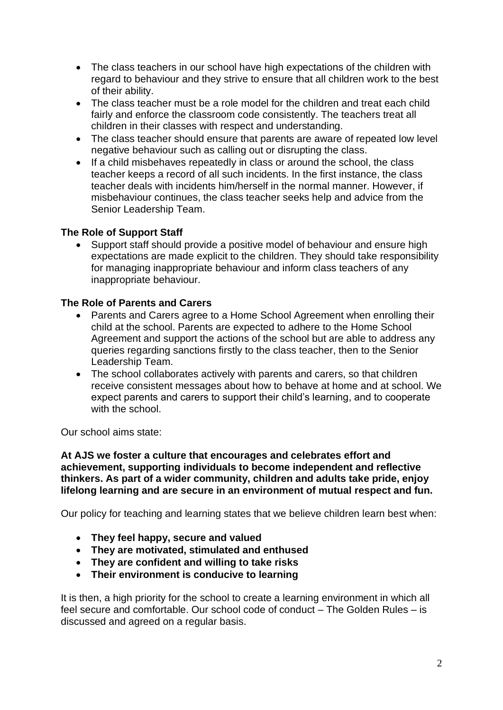- The class teachers in our school have high expectations of the children with regard to behaviour and they strive to ensure that all children work to the best of their ability.
- The class teacher must be a role model for the children and treat each child fairly and enforce the classroom code consistently. The teachers treat all children in their classes with respect and understanding.
- The class teacher should ensure that parents are aware of repeated low level negative behaviour such as calling out or disrupting the class.
- If a child misbehaves repeatedly in class or around the school, the class teacher keeps a record of all such incidents. In the first instance, the class teacher deals with incidents him/herself in the normal manner. However, if misbehaviour continues, the class teacher seeks help and advice from the Senior Leadership Team.

## **The Role of Support Staff**

• Support staff should provide a positive model of behaviour and ensure high expectations are made explicit to the children. They should take responsibility for managing inappropriate behaviour and inform class teachers of any inappropriate behaviour.

## **The Role of Parents and Carers**

- Parents and Carers agree to a Home School Agreement when enrolling their child at the school. Parents are expected to adhere to the Home School Agreement and support the actions of the school but are able to address any queries regarding sanctions firstly to the class teacher, then to the Senior Leadership Team.
- The school collaborates actively with parents and carers, so that children receive consistent messages about how to behave at home and at school. We expect parents and carers to support their child's learning, and to cooperate with the school.

Our school aims state:

**At AJS we foster a culture that encourages and celebrates effort and achievement, supporting individuals to become independent and reflective thinkers. As part of a wider community, children and adults take pride, enjoy lifelong learning and are secure in an environment of mutual respect and fun.**

Our policy for teaching and learning states that we believe children learn best when:

- **They feel happy, secure and valued**
- **They are motivated, stimulated and enthused**
- **They are confident and willing to take risks**
- **Their environment is conducive to learning**

It is then, a high priority for the school to create a learning environment in which all feel secure and comfortable. Our school code of conduct – The Golden Rules – is discussed and agreed on a regular basis.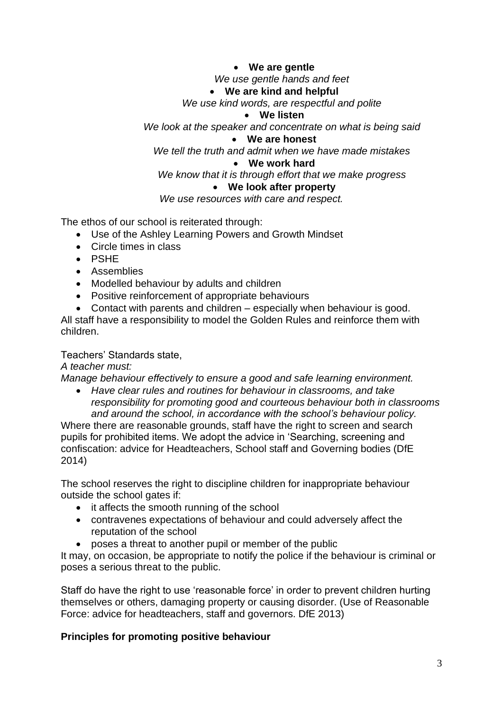### • **We are gentle**

*We use gentle hands and feet*

## • **We are kind and helpful**

*We use kind words, are respectful and polite*

#### • **We listen**

*We look at the speaker and concentrate on what is being said*

#### • **We are honest**

*We tell the truth and admit when we have made mistakes*

#### • **We work hard**

*We know that it is through effort that we make progress*

#### • **We look after property**

*We use resources with care and respect.* 

The ethos of our school is reiterated through:

- Use of the Ashley Learning Powers and Growth Mindset
- Circle times in class
- PSHE
- Assemblies
- Modelled behaviour by adults and children
- Positive reinforcement of appropriate behaviours
- Contact with parents and children especially when behaviour is good.

All staff have a responsibility to model the Golden Rules and reinforce them with children.

#### Teachers' Standards state,

*A teacher must:*

*Manage behaviour effectively to ensure a good and safe learning environment.*

• *Have clear rules and routines for behaviour in classrooms, and take responsibility for promoting good and courteous behaviour both in classrooms and around the school, in accordance with the school's behaviour policy.*

Where there are reasonable grounds, staff have the right to screen and search pupils for prohibited items. We adopt the advice in 'Searching, screening and confiscation: advice for Headteachers, School staff and Governing bodies (DfE 2014)

The school reserves the right to discipline children for inappropriate behaviour outside the school gates if:

- it affects the smooth running of the school
- contravenes expectations of behaviour and could adversely affect the reputation of the school
- poses a threat to another pupil or member of the public

It may, on occasion, be appropriate to notify the police if the behaviour is criminal or poses a serious threat to the public.

Staff do have the right to use 'reasonable force' in order to prevent children hurting themselves or others, damaging property or causing disorder. (Use of Reasonable Force: advice for headteachers, staff and governors. DfE 2013)

#### **Principles for promoting positive behaviour**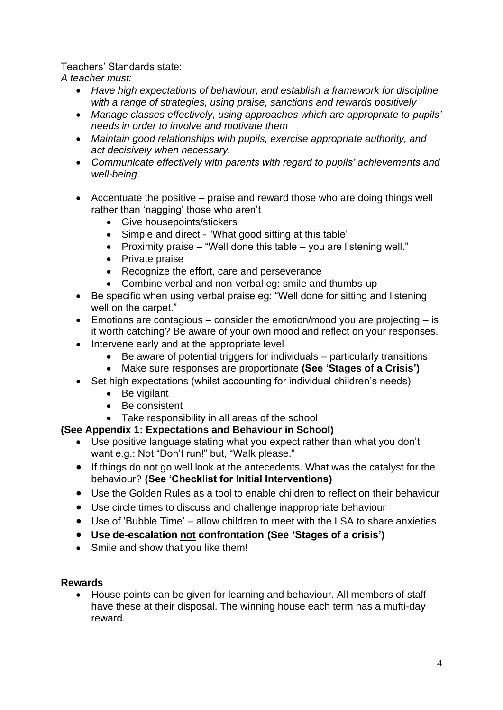## Teachers' Standards state:

*A teacher must:*

- *Have high expectations of behaviour, and establish a framework for discipline with a range of strategies, using praise, sanctions and rewards positively*
- Manage classes effectively, using approaches which are appropriate to *pupils' needs in order to involve and motivate them*
- *Maintain good relationships with pupils, exercise appropriate authority, and act decisively when necessary.*
- *Communicate effectively with parents with regard to pupils' achievements and well-being.*
- Accentuate the positive praise and reward those who are doing things well rather than 'nagging' those who aren't
	- Give housepoints/stickers
	- Simple and direct "What good sitting at this table"
	- Proximity praise "Well done this table you are listening well."
	- Private praise
	- Recognize the effort, care and perseverance
	- Combine verbal and non-verbal eg: smile and thumbs-up
- Be specific when using verbal praise eg: "Well done for sitting and listening well on the carpet."
- Emotions are contagious consider the emotion/mood you are projecting is it worth catching? Be aware of your own mood and reflect on your responses.
- Intervene early and at the appropriate level
	- Be aware of potential triggers for individuals particularly transitions
	- Make sure responses are proportionate **(See 'Stages of a Crisis')**
- Set high expectations (whilst accounting for individual children's needs)
	- Be vigilant
	- Be consistent
	- Take responsibility in all areas of the school

## **(See Appendix 1: Expectations and Behaviour in School)**

- Use positive language stating what you expect rather than what you don't want e.g.: Not "Don't run!" but, "Walk please."
- If things do not go well look at the antecedents. What was the catalyst for the behaviour? **(See 'Checklist for Initial Interventions)**
- Use the Golden Rules as a tool to enable children to reflect on their behaviour
- Use circle times to discuss and challenge inappropriate behaviour
- Use of 'Bubble Time' allow children to meet with the LSA to share anxieties
- **Use de-escalation not confrontation (See 'Stages of a crisis')**
- Smile and show that you like them!

## **Rewards**

• House points can be given for learning and behaviour. All members of staff have these at their disposal. The winning house each term has a mufti-day reward.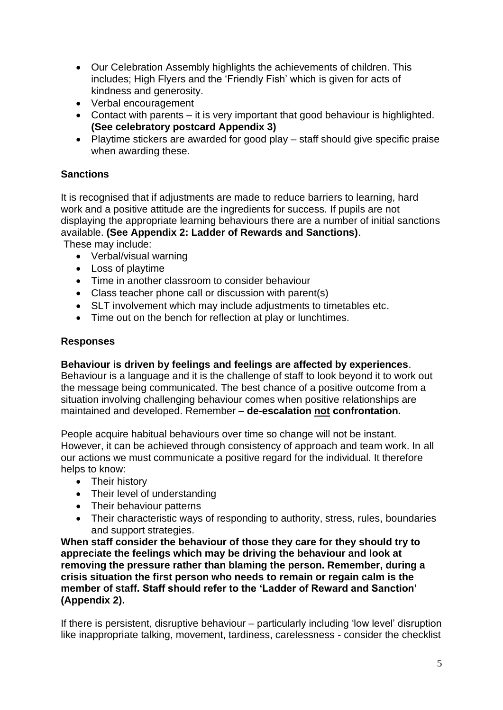- Our Celebration Assembly highlights the achievements of children. This includes; High Flyers and the 'Friendly Fish' which is given for acts of kindness and generosity.
- Verbal encouragement
- Contact with parents it is very important that good behaviour is highlighted. **(See celebratory postcard Appendix 3)**
- Playtime stickers are awarded for good play staff should give specific praise when awarding these.

## **Sanctions**

It is recognised that if adjustments are made to reduce barriers to learning, hard work and a positive attitude are the ingredients for success. If pupils are not displaying the appropriate learning behaviours there are a number of initial sanctions available. **(See Appendix 2: Ladder of Rewards and Sanctions)**.

These may include:

- Verbal/visual warning
- Loss of playtime
- Time in another classroom to consider behaviour
- Class teacher phone call or discussion with parent(s)
- SLT involvement which may include adjustments to timetables etc.
- Time out on the bench for reflection at play or lunchtimes.

## **Responses**

#### **Behaviour is driven by feelings and feelings are affected by experiences**.

Behaviour is a language and it is the challenge of staff to look beyond it to work out the message being communicated. The best chance of a positive outcome from a situation involving challenging behaviour comes when positive relationships are maintained and developed. Remember – **de-escalation not confrontation.**

People acquire habitual behaviours over time so change will not be instant. However, it can be achieved through consistency of approach and team work. In all our actions we must communicate a positive regard for the individual. It therefore helps to know:

- Their history
- Their level of understanding
- Their behaviour patterns
- Their characteristic ways of responding to authority, stress, rules, boundaries and support strategies.

**When staff consider the behaviour of those they care for they should try to appreciate the feelings which may be driving the behaviour and look at removing the pressure rather than blaming the person. Remember, during a crisis situation the first person who needs to remain or regain calm is the member of staff. Staff should refer to the 'Ladder of Reward and Sanction' (Appendix 2).**

If there is persistent, disruptive behaviour – particularly including 'low level' disruption like inappropriate talking, movement, tardiness, carelessness - consider the checklist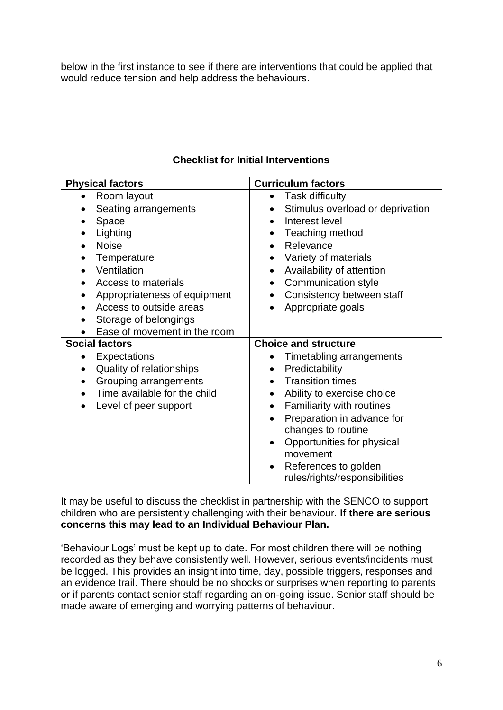below in the first instance to see if there are interventions that could be applied that would reduce tension and help address the behaviours.

| <b>Physical factors</b>                   | <b>Curriculum factors</b>               |
|-------------------------------------------|-----------------------------------------|
| Room layout<br>$\bullet$                  | <b>Task difficulty</b>                  |
| Seating arrangements                      | Stimulus overload or deprivation        |
| Space                                     | Interest level                          |
| Lighting                                  | Teaching method                         |
| <b>Noise</b>                              | Relevance                               |
| Temperature<br>$\bullet$                  | Variety of materials<br>$\bullet$       |
| Ventilation<br>$\bullet$                  | Availability of attention<br>٠          |
| Access to materials<br>$\bullet$          | Communication style<br>$\bullet$        |
| Appropriateness of equipment<br>$\bullet$ | Consistency between staff<br>$\bullet$  |
| Access to outside areas<br>$\bullet$      | Appropriate goals<br>$\bullet$          |
| Storage of belongings<br>$\bullet$        |                                         |
| Ease of movement in the room<br>$\bullet$ |                                         |
| <b>Social factors</b>                     | <b>Choice and structure</b>             |
| Expectations<br>$\bullet$                 | Timetabling arrangements<br>$\bullet$   |
|                                           |                                         |
| Quality of relationships<br>$\bullet$     | Predictability<br>$\bullet$             |
| Grouping arrangements<br>$\bullet$        | <b>Transition times</b><br>$\bullet$    |
| Time available for the child<br>$\bullet$ | Ability to exercise choice<br>$\bullet$ |
| Level of peer support                     | Familiarity with routines<br>$\bullet$  |
|                                           | Preparation in advance for<br>$\bullet$ |
|                                           | changes to routine                      |
|                                           | Opportunities for physical<br>$\bullet$ |
|                                           | movement                                |
|                                           | References to golden                    |

## **Checklist for Initial Interventions**

It may be useful to discuss the checklist in partnership with the SENCO to support children who are persistently challenging with their behaviour. **If there are serious concerns this may lead to an Individual Behaviour Plan.**

'Behaviour Logs' must be kept up to date. For most children there will be nothing recorded as they behave consistently well. However, serious events/incidents must be logged. This provides an insight into time, day, possible triggers, responses and an evidence trail. There should be no shocks or surprises when reporting to parents or if parents contact senior staff regarding an on-going issue. Senior staff should be made aware of emerging and worrying patterns of behaviour.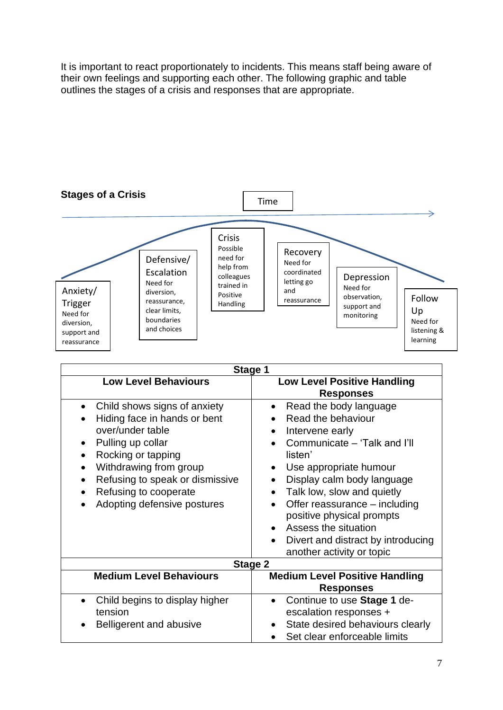It is important to react proportionately to incidents. This means staff being aware of their own feelings and supporting each other. The following graphic and table outlines the stages of a crisis and responses that are appropriate.



| Stage 1                                                                                                                                                                                                                                          |                                                                                                                                                                                                                                                                                                                                                                                                                            |  |  |
|--------------------------------------------------------------------------------------------------------------------------------------------------------------------------------------------------------------------------------------------------|----------------------------------------------------------------------------------------------------------------------------------------------------------------------------------------------------------------------------------------------------------------------------------------------------------------------------------------------------------------------------------------------------------------------------|--|--|
| <b>Low Level Behaviours</b>                                                                                                                                                                                                                      | <b>Low Level Positive Handling</b><br><b>Responses</b>                                                                                                                                                                                                                                                                                                                                                                     |  |  |
| Child shows signs of anxiety<br>Hiding face in hands or bent<br>over/under table<br>Pulling up collar<br>Rocking or tapping<br>Withdrawing from group<br>Refusing to speak or dismissive<br>Refusing to cooperate<br>Adopting defensive postures | Read the body language<br>$\bullet$<br>Read the behaviour<br>Intervene early<br>$\bullet$<br>Communicate - 'Talk and I'll<br>listen'<br>Use appropriate humour<br>$\bullet$<br>Display calm body language<br>Talk low, slow and quietly<br>$\bullet$<br>Offer reassurance – including<br>positive physical prompts<br>Assess the situation<br>$\bullet$<br>Divert and distract by introducing<br>another activity or topic |  |  |
| Stage 2                                                                                                                                                                                                                                          |                                                                                                                                                                                                                                                                                                                                                                                                                            |  |  |
| <b>Medium Level Behaviours</b>                                                                                                                                                                                                                   | <b>Medium Level Positive Handling</b><br><b>Responses</b>                                                                                                                                                                                                                                                                                                                                                                  |  |  |
| Child begins to display higher<br>tension<br>Belligerent and abusive                                                                                                                                                                             | Continue to use Stage 1 de-<br>$\bullet$<br>escalation responses +<br>State desired behaviours clearly<br>Set clear enforceable limits                                                                                                                                                                                                                                                                                     |  |  |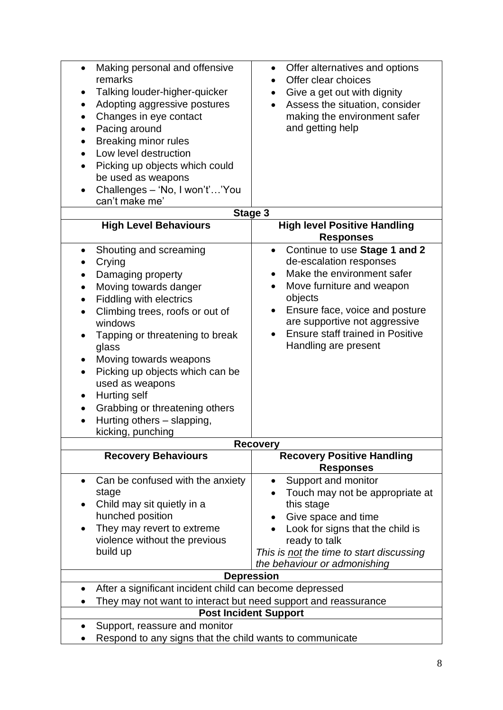| Making personal and offensive<br>$\bullet$<br>remarks<br>Talking louder-higher-quicker<br>$\bullet$<br>Adopting aggressive postures<br>Changes in eye contact<br>Pacing around<br>$\bullet$<br>Breaking minor rules<br>٠<br>Low level destruction<br>Picking up objects which could                                                           | Offer alternatives and options<br>$\bullet$<br>Offer clear choices<br>Give a get out with dignity<br>$\bullet$<br>Assess the situation, consider<br>$\bullet$<br>making the environment safer<br>and getting help                                                                 |  |
|-----------------------------------------------------------------------------------------------------------------------------------------------------------------------------------------------------------------------------------------------------------------------------------------------------------------------------------------------|-----------------------------------------------------------------------------------------------------------------------------------------------------------------------------------------------------------------------------------------------------------------------------------|--|
| be used as weapons                                                                                                                                                                                                                                                                                                                            |                                                                                                                                                                                                                                                                                   |  |
| Challenges - 'No, I won't''You                                                                                                                                                                                                                                                                                                                |                                                                                                                                                                                                                                                                                   |  |
| can't make me'                                                                                                                                                                                                                                                                                                                                | Stage 3                                                                                                                                                                                                                                                                           |  |
| <b>High Level Behaviours</b>                                                                                                                                                                                                                                                                                                                  | <b>High level Positive Handling</b>                                                                                                                                                                                                                                               |  |
|                                                                                                                                                                                                                                                                                                                                               | <b>Responses</b>                                                                                                                                                                                                                                                                  |  |
| Shouting and screaming<br>$\bullet$<br>Crying<br>Damaging property<br>Moving towards danger<br>$\bullet$<br><b>Fiddling with electrics</b><br>$\bullet$<br>Climbing trees, roofs or out of<br>$\bullet$<br>windows<br>Tapping or threatening to break<br>glass<br>Moving towards weapons<br>٠<br>Picking up objects which can be<br>$\bullet$ | Continue to use Stage 1 and 2<br>$\bullet$<br>de-escalation responses<br>Make the environment safer<br>Move furniture and weapon<br>objects<br>Ensure face, voice and posture<br>are supportive not aggressive<br><b>Ensure staff trained in Positive</b><br>Handling are present |  |
| used as weapons<br>Hurting self<br>$\bullet$<br>Grabbing or threatening others<br>٠<br>Hurting others - slapping,<br>kicking, punching                                                                                                                                                                                                        |                                                                                                                                                                                                                                                                                   |  |
|                                                                                                                                                                                                                                                                                                                                               | <b>Recovery</b>                                                                                                                                                                                                                                                                   |  |
| <b>Recovery Behaviours</b>                                                                                                                                                                                                                                                                                                                    | <b>Recovery Positive Handling</b><br><b>Responses</b>                                                                                                                                                                                                                             |  |
| Can be confused with the anxiety<br>$\bullet$<br>stage<br>Child may sit quietly in a<br>$\bullet$<br>hunched position<br>They may revert to extreme<br>violence without the previous<br>build up                                                                                                                                              | Support and monitor<br>$\bullet$<br>Touch may not be appropriate at<br>this stage<br>Give space and time<br>Look for signs that the child is<br>ready to talk<br>This is not the time to start discussing<br>the behaviour or admonishing                                         |  |
|                                                                                                                                                                                                                                                                                                                                               | <b>Depression</b>                                                                                                                                                                                                                                                                 |  |
| After a significant incident child can become depressed<br>$\bullet$<br>They may not want to interact but need support and reassurance<br><b>Post Incident Support</b>                                                                                                                                                                        |                                                                                                                                                                                                                                                                                   |  |
| Support, reassure and monitor<br>Respond to any signs that the child wants to communicate                                                                                                                                                                                                                                                     |                                                                                                                                                                                                                                                                                   |  |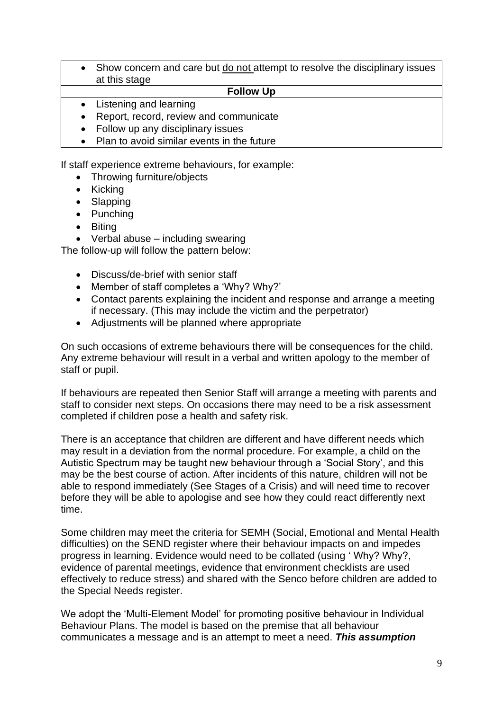• Show concern and care but do not attempt to resolve the disciplinary issues at this stage

#### **Follow Up**

- Listening and learning
- Report, record, review and communicate
- Follow up any disciplinary issues
- Plan to avoid similar events in the future

If staff experience extreme behaviours, for example:

- Throwing furniture/objects
- Kicking
- Slapping
- Punching
- Biting
- Verbal abuse including swearing

The follow-up will follow the pattern below:

- Discuss/de-brief with senior staff
- Member of staff completes a 'Why? Why?'
- Contact parents explaining the incident and response and arrange a meeting if necessary. (This may include the victim and the perpetrator)
- Adjustments will be planned where appropriate

On such occasions of extreme behaviours there will be consequences for the child. Any extreme behaviour will result in a verbal and written apology to the member of staff or pupil.

If behaviours are repeated then Senior Staff will arrange a meeting with parents and staff to consider next steps. On occasions there may need to be a risk assessment completed if children pose a health and safety risk.

There is an acceptance that children are different and have different needs which may result in a deviation from the normal procedure. For example, a child on the Autistic Spectrum may be taught new behaviour through a 'Social Story', and this may be the best course of action. After incidents of this nature, children will not be able to respond immediately (See Stages of a Crisis) and will need time to recover before they will be able to apologise and see how they could react differently next time.

Some children may meet the criteria for SEMH (Social, Emotional and Mental Health difficulties) on the SEND register where their behaviour impacts on and impedes progress in learning. Evidence would need to be collated (using ' Why? Why?, evidence of parental meetings, evidence that environment checklists are used effectively to reduce stress) and shared with the Senco before children are added to the Special Needs register.

We adopt the 'Multi-Element Model' for promoting positive behaviour in Individual Behaviour Plans. The model is based on the premise that all behaviour communicates a message and is an attempt to meet a need. *This assumption*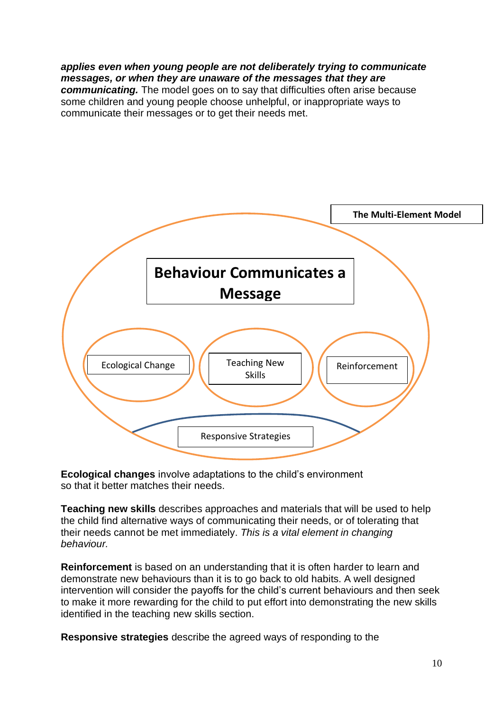*applies even when young people are not deliberately trying to communicate messages, or when they are unaware of the messages that they are communicating.* The model goes on to say that difficulties often arise because some children and young people choose unhelpful, or inappropriate ways to communicate their messages or to get their needs met.



**Ecological changes** involve adaptations to the child's environment so that it better matches their needs.

**Teaching new skills** describes approaches and materials that will be used to help the child find alternative ways of communicating their needs, or of tolerating that their needs cannot be met immediately. *This is a vital element in changing behaviour.*

**Reinforcement** is based on an understanding that it is often harder to learn and demonstrate new behaviours than it is to go back to old habits. A well designed intervention will consider the payoffs for the child's current behaviours and then seek to make it more rewarding for the child to put effort into demonstrating the new skills identified in the teaching new skills section.

**Responsive strategies** describe the agreed ways of responding to the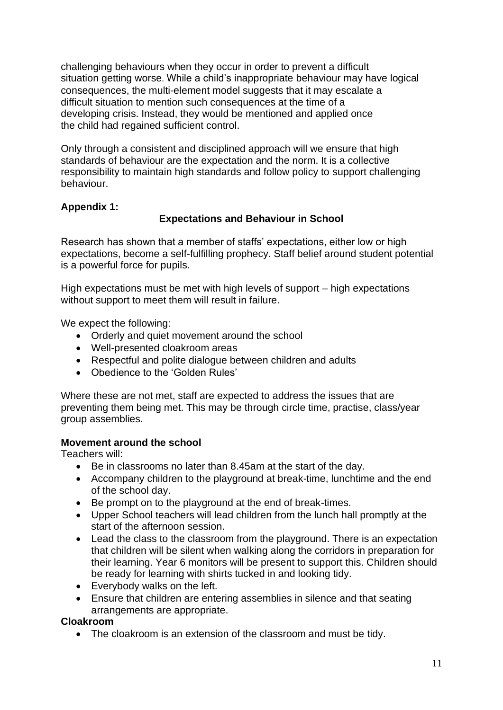challenging behaviours when they occur in order to prevent a difficult situation getting worse. While a child's inappropriate behaviour may have logical consequences, the multi-element model suggests that it may escalate a difficult situation to mention such consequences at the time of a developing crisis. Instead, they would be mentioned and applied once the child had regained sufficient control.

Only through a consistent and disciplined approach will we ensure that high standards of behaviour are the expectation and the norm. It is a collective responsibility to maintain high standards and follow policy to support challenging behaviour.

## **Appendix 1:**

## **Expectations and Behaviour in School**

Research has shown that a member of staffs' expectations, either low or high expectations, become a self-fulfilling prophecy. Staff belief around student potential is a powerful force for pupils.

High expectations must be met with high levels of support – high expectations without support to meet them will result in failure.

We expect the following:

- Orderly and quiet movement around the school
- Well-presented cloakroom areas
- Respectful and polite dialogue between children and adults
- Obedience to the 'Golden Rules'

Where these are not met, staff are expected to address the issues that are preventing them being met. This may be through circle time, practise, class/year group assemblies.

#### **Movement around the school**

Teachers will:

- Be in classrooms no later than 8.45am at the start of the day.
- Accompany children to the playground at break-time, lunchtime and the end of the school day.
- Be prompt on to the playground at the end of break-times.
- Upper School teachers will lead children from the lunch hall promptly at the start of the afternoon session.
- Lead the class to the classroom from the playground. There is an expectation that children will be silent when walking along the corridors in preparation for their learning. Year 6 monitors will be present to support this. Children should be ready for learning with shirts tucked in and looking tidy.
- Everybody walks on the left.
- Ensure that children are entering assemblies in silence and that seating arrangements are appropriate.

#### **Cloakroom**

• The cloakroom is an extension of the classroom and must be tidy.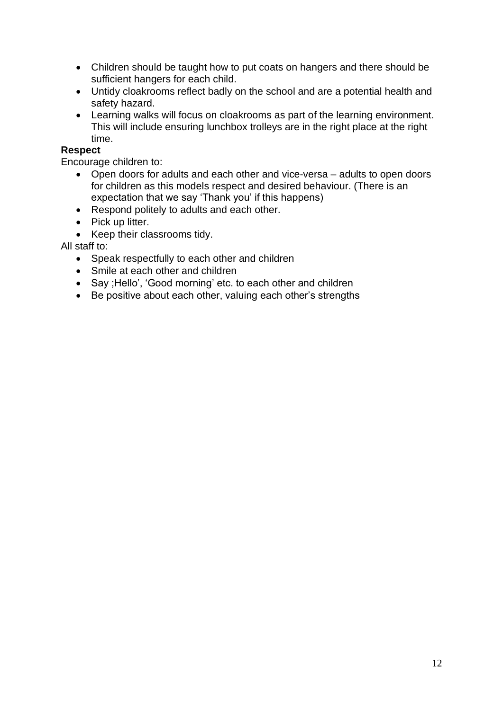- Children should be taught how to put coats on hangers and there should be sufficient hangers for each child.
- Untidy cloakrooms reflect badly on the school and are a potential health and safety hazard.
- Learning walks will focus on cloakrooms as part of the learning environment. This will include ensuring lunchbox trolleys are in the right place at the right time.

## **Respect**

Encourage children to:

- Open doors for adults and each other and vice-versa adults to open doors for children as this models respect and desired behaviour. (There is an expectation that we say 'Thank you' if this happens)
- Respond politely to adults and each other.
- Pick up litter.
- Keep their classrooms tidy.

All staff to:

- Speak respectfully to each other and children
- Smile at each other and children
- Say ;Hello', 'Good morning' etc. to each other and children
- Be positive about each other, valuing each other's strengths